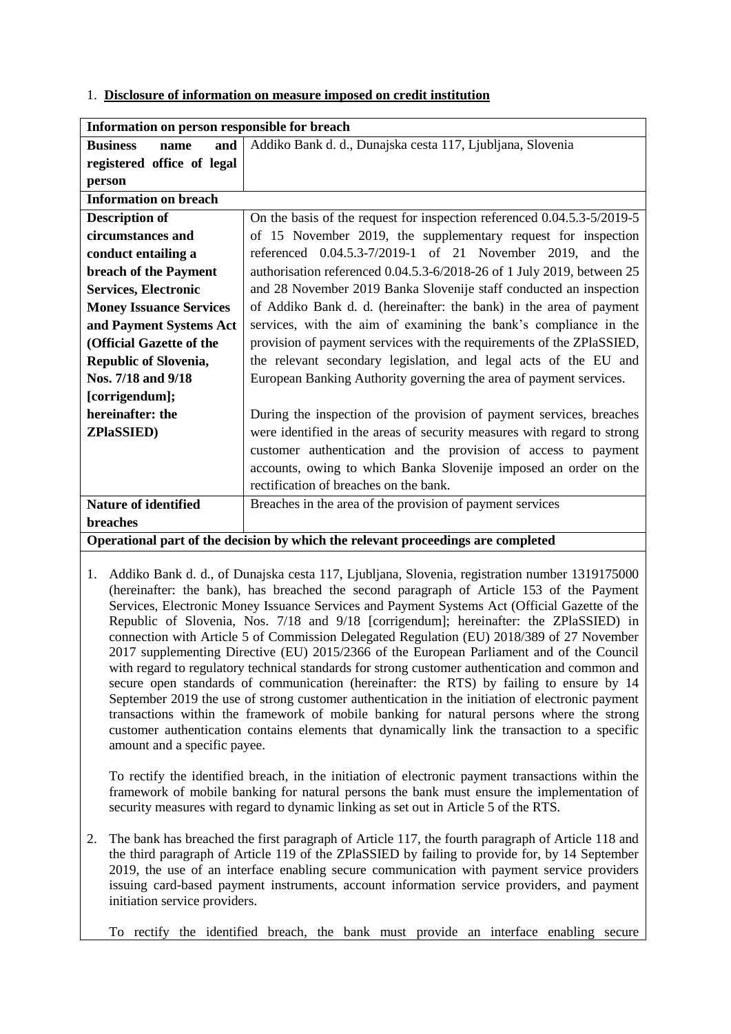1. **Disclosure of information on measure imposed on credit institution**

| Information on person responsible for breach                                     |                                                                               |
|----------------------------------------------------------------------------------|-------------------------------------------------------------------------------|
| <b>Business</b><br>and<br>name                                                   | Addiko Bank d. d., Dunajska cesta 117, Ljubljana, Slovenia                    |
| registered office of legal                                                       |                                                                               |
| person                                                                           |                                                                               |
| <b>Information on breach</b>                                                     |                                                                               |
| <b>Description of</b>                                                            | On the basis of the request for inspection referenced $0.04.5.3 - 5/2019 - 5$ |
| circumstances and                                                                | of 15 November 2019, the supplementary request for inspection                 |
| conduct entailing a                                                              | referenced 0.04.5.3-7/2019-1 of 21 November 2019, and the                     |
| breach of the Payment                                                            | authorisation referenced 0.04.5.3-6/2018-26 of 1 July 2019, between 25        |
| <b>Services, Electronic</b>                                                      | and 28 November 2019 Banka Slovenije staff conducted an inspection            |
| <b>Money Issuance Services</b>                                                   | of Addiko Bank d. d. (hereinafter: the bank) in the area of payment           |
| and Payment Systems Act                                                          | services, with the aim of examining the bank's compliance in the              |
| (Official Gazette of the                                                         | provision of payment services with the requirements of the ZPlaSSIED,         |
| <b>Republic of Slovenia,</b>                                                     | the relevant secondary legislation, and legal acts of the EU and              |
| Nos. 7/18 and 9/18                                                               | European Banking Authority governing the area of payment services.            |
| [corrigendum];                                                                   |                                                                               |
| hereinafter: the                                                                 | During the inspection of the provision of payment services, breaches          |
| <b>ZPlaSSIED)</b>                                                                | were identified in the areas of security measures with regard to strong       |
|                                                                                  | customer authentication and the provision of access to payment                |
|                                                                                  | accounts, owing to which Banka Slovenije imposed an order on the              |
|                                                                                  | rectification of breaches on the bank.                                        |
| <b>Nature of identified</b>                                                      | Breaches in the area of the provision of payment services                     |
| breaches                                                                         |                                                                               |
| Operational part of the decision by which the relevant proceedings are completed |                                                                               |
|                                                                                  |                                                                               |

1. Addiko Bank d. d., of Dunajska cesta 117, Ljubljana, Slovenia, registration number 1319175000 (hereinafter: the bank), has breached the second paragraph of Article 153 of the Payment Services, Electronic Money Issuance Services and Payment Systems Act (Official Gazette of the Republic of Slovenia, Nos. 7/18 and 9/18 [corrigendum]; hereinafter: the ZPlaSSIED) in connection with Article 5 of Commission Delegated Regulation (EU) 2018/389 of 27 November 2017 supplementing Directive (EU) 2015/2366 of the European Parliament and of the Council with regard to regulatory technical standards for strong customer authentication and common and secure open standards of communication (hereinafter: the RTS) by failing to ensure by 14 September 2019 the use of strong customer authentication in the initiation of electronic payment transactions within the framework of mobile banking for natural persons where the strong customer authentication contains elements that dynamically link the transaction to a specific amount and a specific payee.

To rectify the identified breach, in the initiation of electronic payment transactions within the framework of mobile banking for natural persons the bank must ensure the implementation of security measures with regard to dynamic linking as set out in Article 5 of the RTS.

2. The bank has breached the first paragraph of Article 117, the fourth paragraph of Article 118 and the third paragraph of Article 119 of the ZPlaSSIED by failing to provide for, by 14 September 2019, the use of an interface enabling secure communication with payment service providers issuing card-based payment instruments, account information service providers, and payment initiation service providers.

To rectify the identified breach, the bank must provide an interface enabling secure